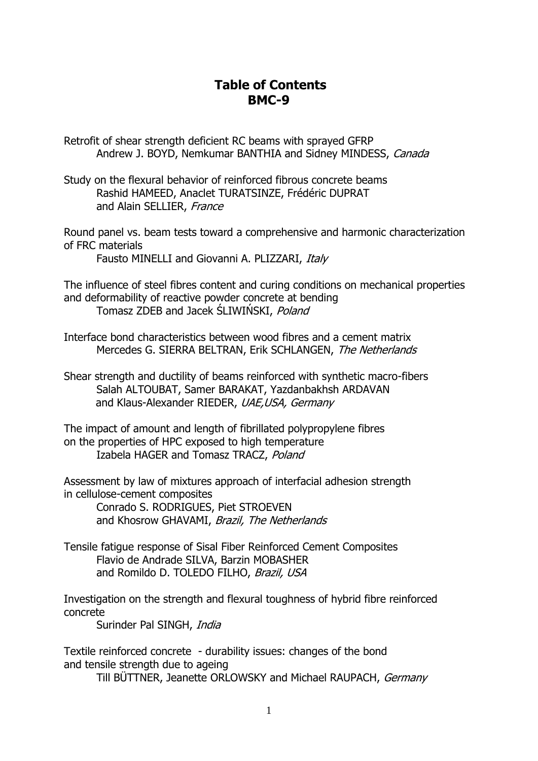## **Table of Contents BMC-9**

Retrofit of shear strength deficient RC beams with sprayed GFRP Andrew J. BOYD, Nemkumar BANTHIA and Sidney MINDESS, Canada

Study on the flexural behavior of reinforced fibrous concrete beams Rashid HAMEED, Anaclet TURATSINZE, Frédéric DUPRAT and Alain SELLIER, France

Round panel vs. beam tests toward a comprehensive and harmonic characterization of FRC materials

Fausto MINELLI and Giovanni A. PLIZZARI, Italy

The influence of steel fibres content and curing conditions on mechanical properties and deformability of reactive powder concrete at bending Tomasz ZDEB and Jacek ŚLIWIŃSKI, Poland

Interface bond characteristics between wood fibres and a cement matrix Mercedes G. SIERRA BELTRAN, Erik SCHLANGEN, The Netherlands

Shear strength and ductility of beams reinforced with synthetic macro-fibers Salah ALTOUBAT, Samer BARAKAT, Yazdanbakhsh ARDAVAN and Klaus-Alexander RIEDER, UAE, USA, Germany

The impact of amount and length of fibrillated polypropylene fibres on the properties of HPC exposed to high temperature Izabela HAGER and Tomasz TRACZ, Poland

Assessment by law of mixtures approach of interfacial adhesion strength in cellulose-cement composites Conrado S. RODRIGUES, Piet STROEVEN

and Khosrow GHAVAMI, Brazil, The Netherlands

Tensile fatigue response of Sisal Fiber Reinforced Cement Composites Flavio de Andrade SILVA, Barzin MOBASHER and Romildo D. TOLEDO FILHO, Brazil, USA

Investigation on the strength and flexural toughness of hybrid fibre reinforced concrete

Surinder Pal SINGH, India

Textile reinforced concrete - durability issues: changes of the bond and tensile strength due to ageing

Till BÜTTNER, Jeanette ORLOWSKY and Michael RAUPACH, Germany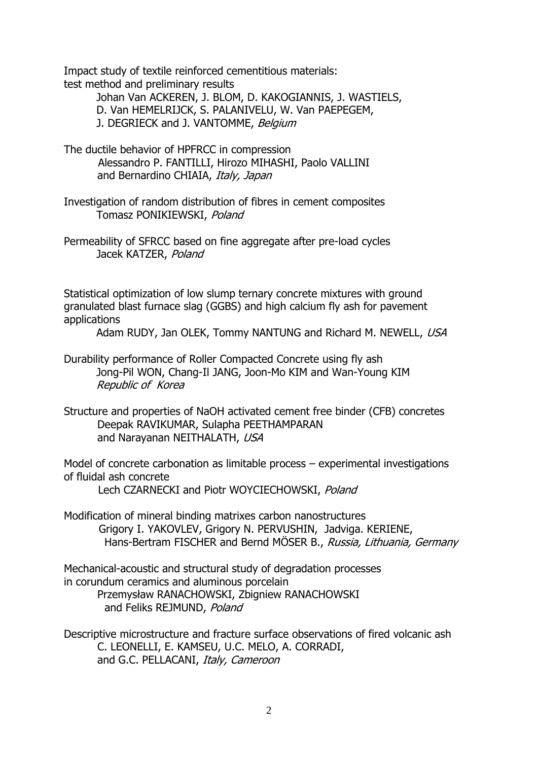Impact study of textile reinforced cementitious materials: test method and preliminary results

> Johan Van ACKEREN, J. BLOM, D. KAKOGIANNIS, J. WASTIELS, D. Van HEMELRIJCK, S. PALANIVELU, W. Van PAEPEGEM, J. DEGRIECK and J. VANTOMME, Belgium

The ductile behavior of HPFRCC in compression Alessandro P. FANTILLI, Hirozo MIHASHI, Paolo VALLINI and Bernardino CHIAIA, Italy, Japan

Investigation of random distribution of fibres in cement composites Tomasz PONIKIEWSKI, Poland

Permeability of SFRCC based on fine aggregate after pre-load cycles Jacek KATZER, Poland

Statistical optimization of low slump ternary concrete mixtures with ground granulated blast furnace slag (GGBS) and high calcium fly ash for pavement applications

Adam RUDY, Jan OLEK, Tommy NANTUNG and Richard M. NEWELL, USA

Durability performance of Roller Compacted Concrete using fly ash Jong-Pil WON, Chang-Il JANG, Joon-Mo KIM and Wan-Young KIM Republic of Korea

Structure and properties of NaOH activated cement free binder (CFB) concretes Deepak RAVIKUMAR, Sulapha PEETHAMPARAN and Narayanan NEITHALATH, USA

Model of concrete carbonation as limitable process – experimental investigations of fluidal ash concrete

Lech CZARNECKI and Piotr WOYCIECHOWSKI, Poland

Modification of mineral binding matrixes carbon nanostructures Grigory I. YAKOVLEV, Grigory N. PERVUSHIN, Jadviga. KERIENE, Hans-Bertram FISCHER and Bernd MÖSER B., Russia, Lithuania, Germany

Mechanical-acoustic and structural study of degradation processes in corundum ceramics and aluminous porcelain Przemysław RANACHOWSKI, Zbigniew RANACHOWSKI and Feliks REJMUND, Poland

Descriptive microstructure and fracture surface observations of fired volcanic ash C. LEONELLI, E. KAMSEU, U.C. MELO, A. CORRADI, and G.C. PELLACANI, Italy, Cameroon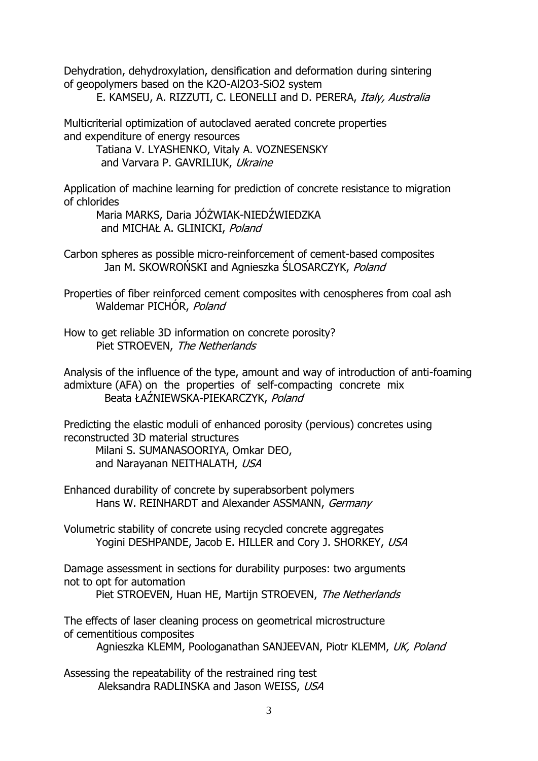Dehydration, dehydroxylation, densification and deformation during sintering of geopolymers based on the K2O-Al2O3-SiO2 system

E. KAMSEU, A. RIZZUTI, C. LEONELLI and D. PERERA, Italy, Australia

Multicriterial optimization of autoclaved aerated concrete properties and expenditure of energy resources

Tatiana V. LYASHENKO, Vitaly A. VOZNESENSKY and Varvara P. GAVRILIUK, Ukraine

Application of machine learning for prediction of concrete resistance to migration of chlorides

Maria MARKS, Daria JÓŻWIAK-NIEDŹWIEDZKA and MICHAŁ A. GLINICKI, Poland

Carbon spheres as possible micro-reinforcement of cement-based composites Jan M. SKOWROŃSKI and Agnieszka ŚLOSARCZYK, Poland

Properties of fiber reinforced cement composites with cenospheres from coal ash Waldemar PICHÓR, Poland

How to get reliable 3D information on concrete porosity? Piet STROEVEN, The Netherlands

Analysis of the influence of the type, amount and way of introduction of anti-foaming admixture (AFA) on the properties of self-compacting concrete mix Beata ŁAŹNIEWSKA-PIEKARCZYK, Poland

Predicting the elastic moduli of enhanced porosity (pervious) concretes using reconstructed 3D material structures Milani S. SUMANASOORIYA, Omkar DEO, and Narayanan NEITHALATH, USA

Enhanced durability of concrete by superabsorbent polymers Hans W. REINHARDT and Alexander ASSMANN, Germany

Volumetric stability of concrete using recycled concrete aggregates Yogini DESHPANDE, Jacob E. HILLER and Cory J. SHORKEY, USA

Damage assessment in sections for durability purposes: two arguments not to opt for automation

Piet STROEVEN, Huan HE, Martijn STROEVEN, The Netherlands

The effects of laser cleaning process on geometrical microstructure of cementitious composites

Agnieszka KLEMM, Poologanathan SANJEEVAN, Piotr KLEMM, UK, Poland

Assessing the repeatability of the restrained ring test Aleksandra RADLINSKA and Jason WEISS, USA